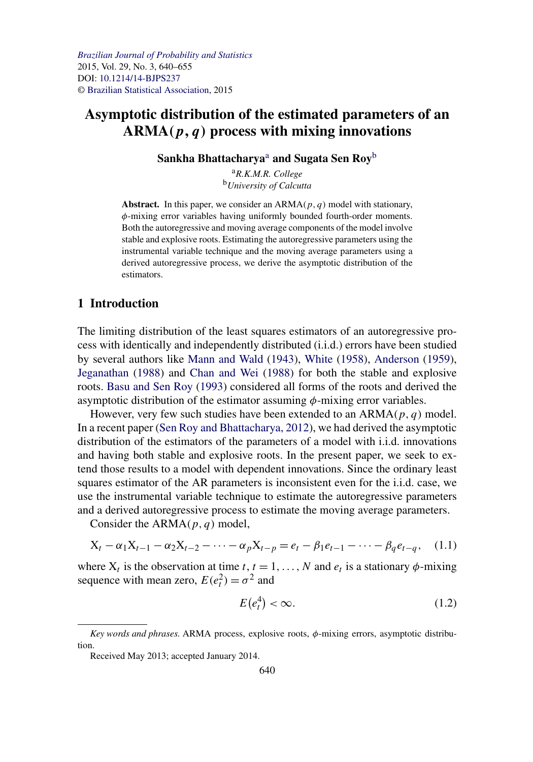# <span id="page-0-0"></span>**Asymptotic distribution of the estimated parameters of an ARMA***(p, q)* **process with mixing innovations**

**Sankha Bhattacharya**<sup>a</sup> **and Sugata Sen Roy**<sup>b</sup>

<sup>a</sup>*R.K.M.R. College* <sup>b</sup>*University of Calcutta*

**Abstract.** In this paper, we consider an ARMA*(p, q)* model with stationary, *φ*-mixing error variables having uniformly bounded fourth-order moments. Both the autoregressive and moving average components of the model involve stable and explosive roots. Estimating the autoregressive parameters using the instrumental variable technique and the moving average parameters using a derived autoregressive process, we derive the asymptotic distribution of the estimators.

# **1 Introduction**

The limiting distribution of the least squares estimators of an autoregressive process with identically and independently distributed (i.i.d.) errors have been studied by several authors like [Mann and Wald](#page-15-0) [\(1943\)](#page-15-0), [White](#page-15-0) [\(1958\)](#page-15-0), [Anderson](#page-15-0) [\(1959\)](#page-15-0), [Jeganathan](#page-15-0) [\(1988\)](#page-15-0) and [Chan and Wei](#page-15-0) [\(1988\)](#page-15-0) for both the stable and explosive roots. [Basu and Sen Roy](#page-15-0) [\(1993\)](#page-15-0) considered all forms of the roots and derived the asymptotic distribution of the estimator assuming *φ*-mixing error variables.

However, very few such studies have been extended to an ARMA*(p, q)* model. In a recent paper [\(Sen Roy and Bhattacharya, 2012\)](#page-15-0), we had derived the asymptotic distribution of the estimators of the parameters of a model with i.i.d. innovations and having both stable and explosive roots. In the present paper, we seek to extend those results to a model with dependent innovations. Since the ordinary least squares estimator of the AR parameters is inconsistent even for the i.i.d. case, we use the instrumental variable technique to estimate the autoregressive parameters and a derived autoregressive process to estimate the moving average parameters.

Consider the ARMA*(p, q)* model,

$$
X_t - \alpha_1 X_{t-1} - \alpha_2 X_{t-2} - \dots - \alpha_p X_{t-p} = e_t - \beta_1 e_{t-1} - \dots - \beta_q e_{t-q}, \quad (1.1)
$$

where  $X_t$  is the observation at time *t*,  $t = 1, \ldots, N$  and  $e_t$  is a stationary  $\phi$ -mixing sequence with mean zero,  $E(e_t^2) = \sigma^2$  and

$$
E(e_t^4) < \infty. \tag{1.2}
$$

*Key words and phrases.* ARMA process, explosive roots, *φ*-mixing errors, asymptotic distribution.

Received May 2013; accepted January 2014.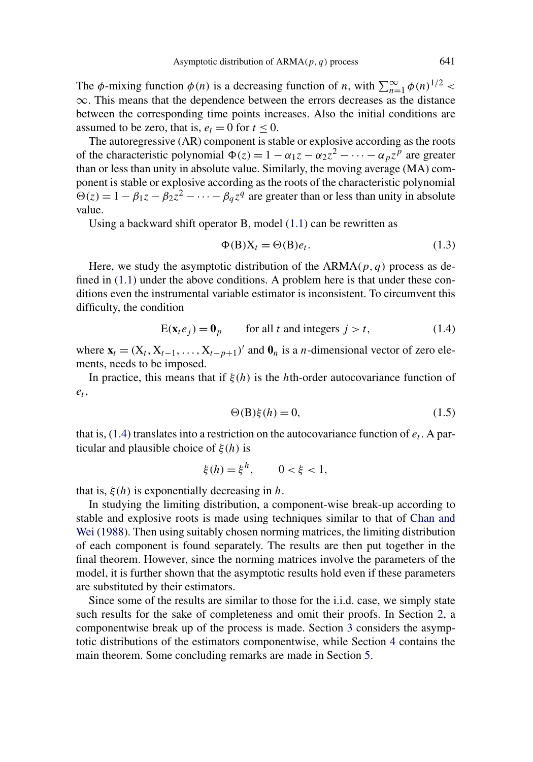<span id="page-1-0"></span>The  $\phi$ -mixing function  $\phi(n)$  is a decreasing function of *n*, with  $\sum_{n=1}^{\infty} \phi(n)^{1/2}$  $\infty$ . This means that the dependence between the errors decreases as the distance between the corresponding time points increases. Also the initial conditions are assumed to be zero, that is,  $e_t = 0$  for  $t \le 0$ .

The autoregressive (AR) component is stable or explosive according as the roots of the characteristic polynomial  $\Phi(z) = 1 - \alpha_1 z - \alpha_2 z^2 - \cdots - \alpha_p z^p$  are greater than or less than unity in absolute value. Similarly, the moving average (MA) component is stable or explosive according as the roots of the characteristic polynomial  $\hat{\theta}(z) = 1 - \beta_1 z - \beta_2 z^2 - \cdots - \beta_q z^q$  are greater than or less than unity in absolute value.

Using a backward shift operator B, model [\(1.1\)](#page-0-0) can be rewritten as

$$
\Phi(B)X_t = \Theta(B)e_t.
$$
\n(1.3)

Here, we study the asymptotic distribution of the ARMA*(p, q)* process as defined in [\(1.1\)](#page-0-0) under the above conditions. A problem here is that under these conditions even the instrumental variable estimator is inconsistent. To circumvent this difficulty, the condition

$$
E(\mathbf{x}_t e_j) = \mathbf{0}_p \qquad \text{for all } t \text{ and integers } j > t,
$$
 (1.4)

where  $\mathbf{x}_t = (X_t, X_{t-1}, \ldots, X_{t-p+1})'$  and  $\mathbf{0}_n$  is a *n*-dimensional vector of zero elements, needs to be imposed.

In practice, this means that if *ξ(h)* is the *h*th-order autocovariance function of *et* ,

$$
\Theta(\mathbf{B})\xi(h) = 0,\tag{1.5}
$$

that is,  $(1.4)$  translates into a restriction on the autocovariance function of  $e_t$ . A particular and plausible choice of *ξ(h)* is

$$
\xi(h) = \xi^h, \qquad 0 < \xi < 1,
$$

that is,  $\xi(h)$  is exponentially decreasing in *h*.

In studying the limiting distribution, a component-wise break-up according to stable and explosive roots is made using techniques similar to that of [Chan and](#page-15-0) [Wei](#page-15-0) [\(1988\)](#page-15-0). Then using suitably chosen norming matrices, the limiting distribution of each component is found separately. The results are then put together in the final theorem. However, since the norming matrices involve the parameters of the model, it is further shown that the asymptotic results hold even if these parameters are substituted by their estimators.

Since some of the results are similar to those for the i.i.d. case, we simply state such results for the sake of completeness and omit their proofs. In Section [2,](#page-2-0) a componentwise break up of the process is made. Section [3](#page-4-0) considers the asymptotic distributions of the estimators componentwise, while Section [4](#page-10-0) contains the main theorem. Some concluding remarks are made in Section [5.](#page-14-0)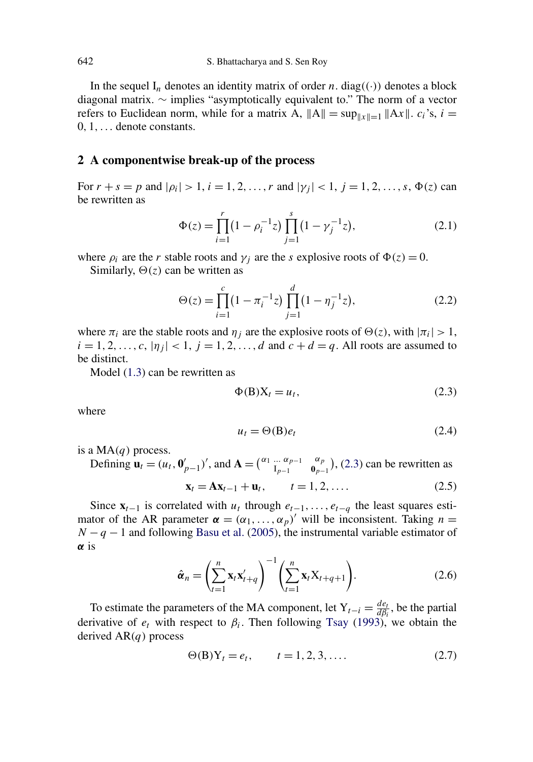<span id="page-2-0"></span>In the sequel  $I_n$  denotes an identity matrix of order *n*. diag $((\cdot))$  denotes a block diagonal matrix. ∼ implies "asymptotically equivalent to." The norm of a vector refers to Euclidean norm, while for a matrix A,  $||A|| = \sup_{||x||=1} ||Ax||$ .  $c_i$ 's,  $i =$ 0*,* 1*,...* denote constants.

#### **2 A componentwise break-up of the process**

For  $r + s = p$  and  $|\rho_i| > 1$ ,  $i = 1, 2, ..., r$  and  $|\gamma_j| < 1$ ,  $j = 1, 2, ..., s$ ,  $\Phi(z)$  can be rewritten as

$$
\Phi(z) = \prod_{i=1}^{r} (1 - \rho_i^{-1} z) \prod_{j=1}^{s} (1 - \gamma_j^{-1} z),
$$
\n(2.1)

where  $\rho_i$  are the *r* stable roots and  $\gamma_i$  are the *s* explosive roots of  $\Phi(z) = 0$ .

Similarly,  $\Theta(z)$  can be written as

$$
\Theta(z) = \prod_{i=1}^{c} \left(1 - \pi_i^{-1} z\right) \prod_{j=1}^{d} \left(1 - \eta_j^{-1} z\right),\tag{2.2}
$$

where  $\pi_i$  are the stable roots and  $\eta_j$  are the explosive roots of  $\Theta(z)$ , with  $|\pi_i| > 1$ ,  $i = 1, 2, \ldots, c, |\eta_j| < 1, j = 1, 2, \ldots, d$  and  $c + d = q$ . All roots are assumed to be distinct.

Model [\(1.3\)](#page-1-0) can be rewritten as

$$
\Phi(B)X_t = u_t,\tag{2.3}
$$

where

$$
u_t = \Theta(\mathbf{B})e_t \tag{2.4}
$$

is a MA*(q)* process.

Defining  $\mathbf{u}_t = (u_t, \mathbf{0}_{p-1}')'$ , and  $\mathbf{A} = \begin{pmatrix} \alpha_1 & \cdots & \alpha_{p-1} \\ I_{p-1} & \cdots & I_p \end{pmatrix}$ I*p*−1 *αp*  $\binom{\alpha_p}{\beta_{p-1}}$ , (2.3) can be rewritten as

$$
\mathbf{x}_t = \mathbf{A}\mathbf{x}_{t-1} + \mathbf{u}_t, \qquad t = 1, 2, \dots.
$$
 (2.5)

Since  $\mathbf{x}_{t-1}$  is correlated with  $u_t$  through  $e_{t-1}, \ldots, e_{t-q}$  the least squares estimator of the AR parameter  $\alpha = (\alpha_1, \dots, \alpha_p)'$  will be inconsistent. Taking  $n =$ *N* − *q* − 1 and following [Basu et al.](#page-15-0) [\(2005\)](#page-15-0), the instrumental variable estimator of *α* is

$$
\hat{\boldsymbol{\alpha}}_n = \left(\sum_{t=1}^n \mathbf{x}_t \mathbf{x}'_{t+q}\right)^{-1} \left(\sum_{t=1}^n \mathbf{x}_t \mathbf{X}_{t+q+1}\right).
$$
 (2.6)

To estimate the parameters of the MA component, let  $Y_{t-i} = \frac{de_t}{d\beta_i}$ , be the partial derivative of  $e_t$  with respect to  $\beta_i$ . Then following [Tsay](#page-15-0) [\(1993\)](#page-15-0), we obtain the derived AR*(q)* process

$$
\Theta(B)Y_t = e_t, \qquad t = 1, 2, 3, .... \tag{2.7}
$$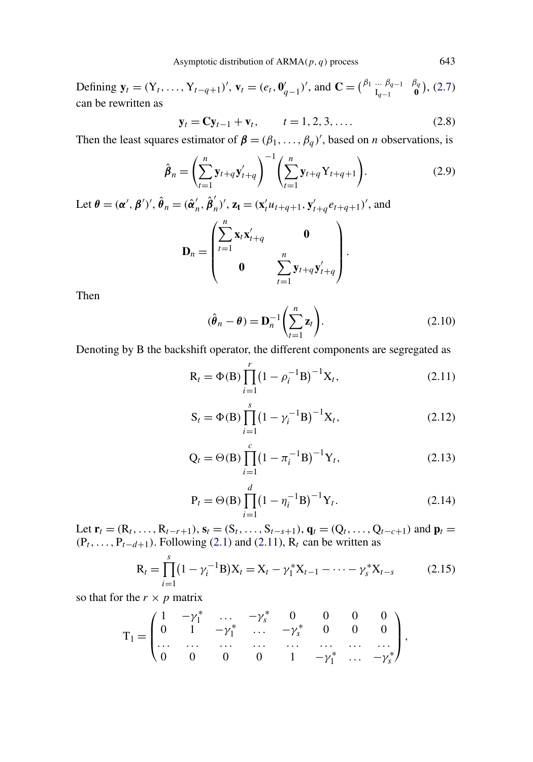<span id="page-3-0"></span>Defining  $\mathbf{y}_t = (Y_t, \ldots, Y_{t-q+1})'$ ,  $\mathbf{v}_t = (e_t, \mathbf{0}_{q-1}')'$ , and  $\mathbf{C} = \begin{pmatrix} \beta_1 & \cdots & \beta_{q-1} \\ I_{q-1} & \cdots & I_{q-1} \end{pmatrix}$ I*q*−1 *βq*  $\binom{5q}{0}$ , [\(2.7\)](#page-2-0) can be rewritten as

$$
\mathbf{y}_t = \mathbf{C} \mathbf{y}_{t-1} + \mathbf{v}_t, \qquad t = 1, 2, 3, .... \tag{2.8}
$$

Then the least squares estimator of  $\beta = (\beta_1, \ldots, \beta_q)'$ , based on *n* observations, is

$$
\hat{\boldsymbol{\beta}}_n = \left(\sum_{t=1}^n \mathbf{y}_{t+q} \mathbf{y}'_{t+q}\right)^{-1} \left(\sum_{t=1}^n \mathbf{y}_{t+q} \mathbf{Y}_{t+q+1}\right).
$$
(2.9)

Let  $\theta = (\alpha', \beta')', \hat{\theta}_n = (\hat{\alpha}'_n, \hat{\beta}'_n)', \mathbf{z}_t = (\mathbf{x}'_t u_{t+q+1}, \mathbf{y}'_{t+q} e_{t+q+1})'$ , and

$$
\mathbf{D}_n = \begin{pmatrix} \sum_{t=1}^n \mathbf{x}_t \mathbf{x}'_{t+q} & \mathbf{0} \\ 0 & \sum_{t=1}^n \mathbf{y}_{t+q} \mathbf{y}'_{t+q} \end{pmatrix}.
$$

Then

$$
(\hat{\boldsymbol{\theta}}_n - \boldsymbol{\theta}) = \mathbf{D}_n^{-1} \left( \sum_{t=1}^n \mathbf{z}_t \right).
$$
 (2.10)

Denoting by B the backshift operator, the different components are segregated as

$$
R_{t} = \Phi(B) \prod_{i=1}^{r} (1 - \rho_{i}^{-1}B)^{-1} X_{t},
$$
\n(2.11)

$$
S_t = \Phi(B) \prod_{i=1}^{s} (1 - \gamma_i^{-1} B)^{-1} X_t,
$$
\n(2.12)

$$
Q_t = \Theta(B) \prod_{i=1}^{c} (1 - \pi_i^{-1} B)^{-1} Y_t,
$$
\n(2.13)

$$
P_t = \Theta(B) \prod_{i=1}^d (1 - \eta_i^{-1} B)^{-1} Y_t.
$$
 (2.14)

Let  $\mathbf{r}_t = (R_t, \ldots, R_{t-r+1}), \mathbf{s}_t = (S_t, \ldots, S_{t-s+1}), \mathbf{q}_t = (Q_t, \ldots, Q_{t-c+1})$  and  $\mathbf{p}_t =$  $(P_t, \ldots, P_{t-d+1})$ . Following [\(2.1\)](#page-2-0) and (2.11),  $R_t$  can be written as

$$
R_t = \prod_{i=1}^{s} (1 - \gamma_i^{-1} B) X_t = X_t - \gamma_1^* X_{t-1} - \dots - \gamma_s^* X_{t-s}
$$
 (2.15)

so that for the  $r \times p$  matrix

$$
\text{T}_1 = \begin{pmatrix} 1 & -\gamma_1^* & \dots & -\gamma_s^* & 0 & 0 & 0 & 0 \\ 0 & 1 & -\gamma_1^* & \dots & -\gamma_s^* & 0 & 0 & 0 \\ \dots & \dots & \dots & \dots & \dots & \dots & \dots \\ 0 & 0 & 0 & 0 & 1 & -\gamma_1^* & \dots & -\gamma_s^* \end{pmatrix},
$$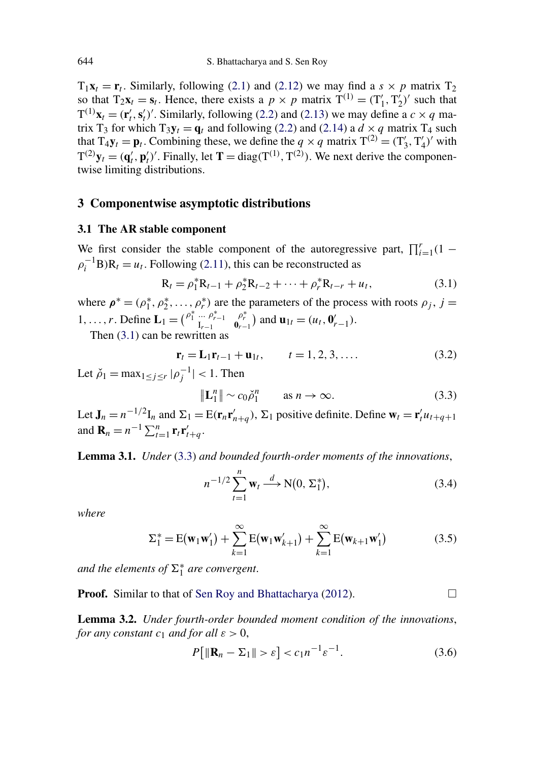<span id="page-4-0"></span> $T_1$ **x**<sub>t</sub> = **r**<sub>t</sub>. Similarly, following [\(2.1\)](#page-2-0) and [\(2.12\)](#page-3-0) we may find a *s* × *p* matrix T<sub>2</sub> so that  $T_2\mathbf{x}_t = \mathbf{s}_t$ . Hence, there exists a  $p \times p$  matrix  $\mathbf{T}^{(1)} = (T'_1, T'_2)'$  such that  $T^{(1)}\mathbf{x}_t = (\mathbf{r}'_t, \mathbf{s}'_t)'$ . Similarly, following [\(2.2\)](#page-2-0) and [\(2.13\)](#page-3-0) we may define a  $c \times q$  matrix T<sub>3</sub> for which T<sub>3</sub> $y_t = q_t$  and following [\(2.2\)](#page-2-0) and [\(2.14\)](#page-3-0) a  $d \times q$  matrix T<sub>4</sub> such that  $T_4\mathbf{y}_t = \mathbf{p}_t$ . Combining these, we define the  $q \times q$  matrix  $T^{(2)} = (T'_3, T'_4)'$  with  $T^{(2)}y_t = (\mathbf{q}'_t, \mathbf{p}'_t)'$ . Finally, let  $\mathbf{T} = \text{diag}(T^{(1)}, T^{(2)})$ . We next derive the componentwise limiting distributions.

#### **3 Componentwise asymptotic distributions**

#### **3.1 The AR stable component**

We first consider the stable component of the autoregressive part,  $\prod_{i=1}^{r} (1 \rho_i^{-1}$ B)R<sub>t</sub> = *u*<sub>t</sub>. Following [\(2.11\)](#page-3-0), this can be reconstructed as

$$
R_t = \rho_1^* R_{t-1} + \rho_2^* R_{t-2} + \dots + \rho_r^* R_{t-r} + u_t,
$$
\n(3.1)

where  $\rho^* = (\rho_1^*, \rho_2^*, \dots, \rho_r^*)$  are the parameters of the process with roots  $\rho_j$ ,  $j =$ 1, ..., *r*. Define  $\mathbf{L}_1 = \begin{pmatrix} \rho_1^* & \cdots & \rho_{r-1}^* \\ I_{r-1} & I_r \end{pmatrix}$  $\begin{bmatrix} \rho_r^* \\ \rho_{r-1}^* \end{bmatrix}$  and  $\mathbf{u}_{1t} = (u_t, \mathbf{0}_{r-1}^t)$ .

Then (3.1) can be rewritten as

$$
\mathbf{r}_t = \mathbf{L}_1 \mathbf{r}_{t-1} + \mathbf{u}_{1t}, \qquad t = 1, 2, 3, .... \tag{3.2}
$$

Let  $\check{\rho}_1 = \max_{1 \le j \le r} |\rho_j^{-1}| < 1$ . Then

$$
\|\mathbf{L}_1^n\| \sim c_0 \check{\rho}_1^n \qquad \text{as } n \to \infty. \tag{3.3}
$$

Let  $J_n = n^{-1/2}I_n$  and  $\Sigma_1 = E(\mathbf{r}_n \mathbf{r}'_{n+q})$ ,  $\Sigma_1$  positive definite. Define  $\mathbf{w}_t = \mathbf{r}'_t u_{t+q+1}$ and  $\mathbf{R}_n = n^{-1} \sum_{t=1}^n \mathbf{r}_t \mathbf{r}'_{t+q}$ .

**Lemma 3.1.** *Under* (3.3) *and bounded fourth-order moments of the innovations*,

$$
n^{-1/2} \sum_{t=1}^{n} \mathbf{w}_t \xrightarrow{d} \mathbf{N}(0, \Sigma_1^*), \tag{3.4}
$$

*where*

$$
\Sigma_1^* = E(\mathbf{w}_1 \mathbf{w}'_1) + \sum_{k=1}^{\infty} E(\mathbf{w}_1 \mathbf{w}'_{k+1}) + \sum_{k=1}^{\infty} E(\mathbf{w}_{k+1} \mathbf{w}'_1)
$$
(3.5)

and the elements of  $\Sigma_1^*$  are convergent.

**Proof.** Similar to that of [Sen Roy and Bhattacharya](#page-15-0) [\(2012\)](#page-15-0). □

**Lemma 3.2.** *Under fourth-order bounded moment condition of the innovations*, *for any constant*  $c_1$  *and for all*  $\varepsilon > 0$ ,

$$
P[ \| \mathbf{R}_n - \Sigma_1 \| > \varepsilon ] < c_1 n^{-1} \varepsilon^{-1}.
$$
 (3.6)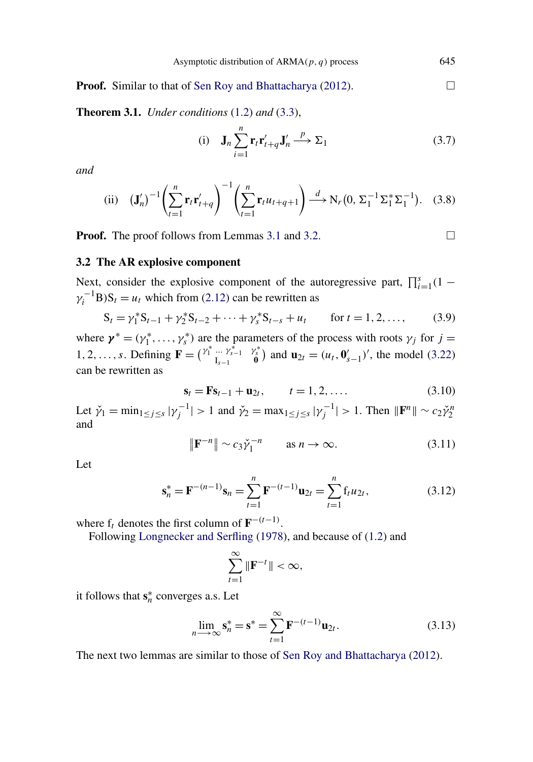<span id="page-5-0"></span>**Proof.** Similar to that of [Sen Roy and Bhattacharya](#page-15-0) [\(2012\)](#page-15-0).

**Theorem 3.1.** *Under conditions* [\(1.2\)](#page-0-0) *and* [\(3.3\)](#page-4-0),

(i) 
$$
\mathbf{J}_n \sum_{i=1}^n \mathbf{r}_t \mathbf{r}'_{t+q} \mathbf{J}'_n \xrightarrow{p} \Sigma_1
$$
 (3.7)

*and*

(ii) 
$$
(\mathbf{J}'_n)^{-1} \left( \sum_{t=1}^n \mathbf{r}_t \mathbf{r}'_{t+q} \right)^{-1} \left( \sum_{t=1}^n \mathbf{r}_t u_{t+q+1} \right) \xrightarrow{d} N_r(0, \Sigma_1^{-1} \Sigma_1^* \Sigma_1^{-1}).
$$
 (3.8)

**Proof.** The proof follows from Lemmas [3.1](#page-4-0) and [3.2.](#page-4-0)

 $\Box$ 

# **3.2 The AR explosive component**

Next, consider the explosive component of the autoregressive part,  $\prod_{i=1}^{s}(1 \gamma_i^{-1}B$ )S<sub>t</sub> = *u<sub>t</sub>* which from [\(2.12\)](#page-3-0) can be rewritten as

$$
S_t = \gamma_1^* S_{t-1} + \gamma_2^* S_{t-2} + \dots + \gamma_s^* S_{t-s} + u_t \quad \text{for } t = 1, 2, \dots,
$$
 (3.9)

where  $\mathbf{y}^* = (\gamma_1^*, \dots, \gamma_s^*)$  are the parameters of the process with roots  $\gamma_j$  for  $j =$ 1, 2, ..., *s*. Defining  $\mathbf{F} = {y_1^* \dots y_{s-1}^* \choose 1_{s-1}}$  $y_0^*$  and  $\mathbf{u}_{2t} = (u_t, \mathbf{0}_{s-1}')'$ , the model [\(3.22\)](#page-8-0) can be rewritten as

$$
\mathbf{s}_t = \mathbf{F} \mathbf{s}_{t-1} + \mathbf{u}_{2t}, \qquad t = 1, 2, .... \tag{3.10}
$$

Let  $\check{\gamma}_1 = \min_{1 \le j \le s} |\gamma_j^{-1}| > 1$  and  $\check{\gamma}_2 = \max_{1 \le j \le s} |\gamma_j^{-1}| > 1$ . Then  $\|\mathbf{F}^n\| \sim c_2 \check{\gamma}_2^n$ and

$$
\|\mathbf{F}^{-n}\| \sim c_3 \check{\gamma}_1^{-n} \qquad \text{as } n \to \infty. \tag{3.11}
$$

Let

$$
\mathbf{s}_n^* = \mathbf{F}^{-(n-1)} \mathbf{s}_n = \sum_{t=1}^n \mathbf{F}^{-(t-1)} \mathbf{u}_{2t} = \sum_{t=1}^n \mathbf{f}_t u_{2t},
$$
(3.12)

where  $f_t$  denotes the first column of  $\mathbf{F}^{-(t-1)}$ .

Following [Longnecker and Serfling](#page-15-0) [\(1978\)](#page-15-0), and because of [\(1.2\)](#page-0-0) and

$$
\sum_{t=1}^{\infty} \|\mathbf{F}^{-t}\| < \infty,
$$

it follows that  $s_n^*$  converges a.s. Let

$$
\lim_{n \to \infty} \mathbf{s}_n^* = \mathbf{s}^* = \sum_{t=1}^{\infty} \mathbf{F}^{-(t-1)} \mathbf{u}_{2t}.
$$
 (3.13)

The next two lemmas are similar to those of [Sen Roy and Bhattacharya](#page-15-0) [\(2012\)](#page-15-0).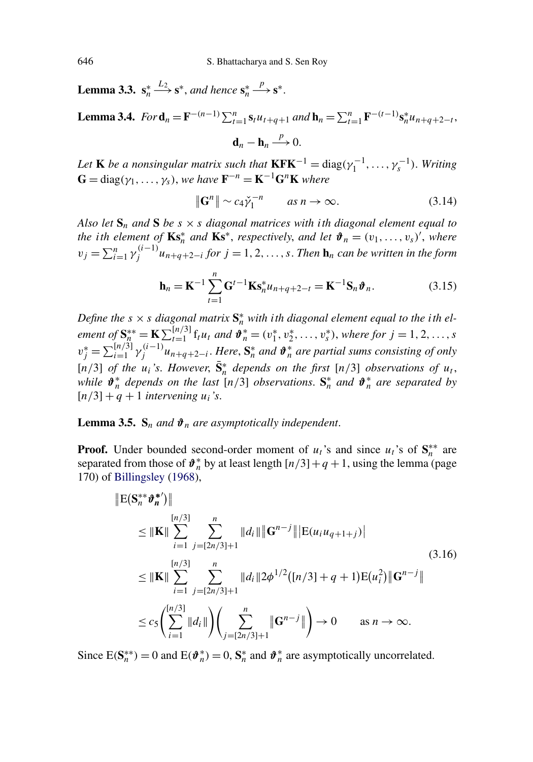**Lemma 3.3.**  $s_n^* \xrightarrow{L_2} s^*$ , and hence  $s_n^*$  $\xrightarrow{p}$ **s**<sup>∗</sup>.

**Lemma 3.4.** For  $\mathbf{d}_n = \mathbf{F}^{-(n-1)} \sum_{t=1}^n \mathbf{s}_t u_{t+q+1}$  and  $\mathbf{h}_n = \sum_{t=1}^n \mathbf{F}^{-(t-1)} \mathbf{s}_n^* u_{n+q+2-t}$ , *p*

$$
\mathbf{d}_n - \mathbf{h}_n \xrightarrow{P} 0.
$$

*Let* **K** *be a nonsingular matrix such that*  $\mathbf{KFK}^{-1} = \text{diag}(\gamma_1^{-1}, \dots, \gamma_s^{-1})$ *. Writing*  $\mathbf{G} = \text{diag}(\gamma_1, \dots, \gamma_s)$ , we have  $\mathbf{F}^{-n} = \mathbf{K}^{-1} \mathbf{G}^n \mathbf{K}$  where

$$
\|\mathbf{G}^n\| \sim c_4 \check{\gamma}_1^{-n} \qquad \text{as } n \to \infty. \tag{3.14}
$$

*Also let*  $S_n$  *and*  $S$  *be*  $s \times s$  *diagonal matrices with ith diagonal element equal to the i***th** element of  $\mathbf{Ks}_{n}^{*}$  *and*  $\mathbf{Ks}_{n}^{*}$ *, respectively, and let*  $\mathbf{\hat{v}}_{n} = (v_{1},...,v_{s})'$ *, where*  $v_j = \sum_{i=1}^n \gamma_j^{(i-1)} u_{n+q+2-i}$  *for*  $j = 1, 2, \ldots, s$ . *Then* **h**<sub>*n*</sub> *can be written in the form* 

$$
\mathbf{h}_n = \mathbf{K}^{-1} \sum_{t=1}^n \mathbf{G}^{t-1} \mathbf{K} \mathbf{s}_n^* u_{n+q+2-t} = \mathbf{K}^{-1} \mathbf{S}_n \boldsymbol{\vartheta}_n.
$$
 (3.15)

Define the  $s \times s$  diagonal matrix  $S_n^*$  with ith diagonal element equal to the ith element of  $S_n^{**} = K \sum_{t=1}^{\lfloor n/3 \rfloor} f_t u_t$  and  $\mathbf{\hat{v}}_n^* = (v_1^*, v_2^*, \dots, v_s^*)$ , where for  $j = 1, 2, \dots, s$  $v_j^* = \sum_{i=1}^{[n/3]} \gamma_j^{(i-1)} u_{n+q+2-i}$ . Here,  $S_n^*$  and  $\mathbf{\hat{v}}_n^*$  are partial sums consisting of only  $[n/3]$  *of the*  $u_i$ 's. However,  $\bar{S}_n^*$  depends on the first  $[n/3]$  *observations of*  $u_t$ , *while*  $\mathbf{\hat{\theta}}_n^*$  *depends on the last*  $[n/3]$  *observations.*  $\mathbf{S}_n^*$  *and*  $\mathbf{\hat{\theta}}_n^*$  *are separated by*  $[n/3] + q + 1$  *intervening*  $u_i$ *'s.* 

# **Lemma 3.5.**  $S_n$  *and*  $\vartheta_n$  *are asymptotically independent.*

**Proof.** Under bounded second-order moment of  $u_t$ 's and since  $u_t$ 's of  $S_n^{**}$  are separated from those of  $\mathbf{\hat{v}}_n^*$  by at least length  $\lfloor n/3 \rfloor + q + 1$ , using the lemma (page 170) of [Billingsley](#page-15-0) [\(1968\)](#page-15-0),

$$
\|E(\mathbf{S}_{n}^{**}\boldsymbol{\vartheta}_{n}^{*})\|
$$
\n
$$
\leq \|\mathbf{K}\| \sum_{i=1}^{[n/3]} \sum_{j=[2n/3]+1}^{n} \|d_{i}\| \|\mathbf{G}^{n-j}\| |E(u_{i}u_{q+1+j})|
$$
\n
$$
\leq \|\mathbf{K}\| \sum_{i=1}^{[n/3]} \sum_{j=[2n/3]+1}^{n} \|d_{i}\| |2\phi^{1/2}([n/3]+q+1)E(u_{i}^{2})\| \mathbf{G}^{n-j}\|
$$
\n
$$
\leq c_{5} \Biggl(\sum_{i=1}^{[n/3]} \|d_{i}\| \Biggr) \Biggl(\sum_{j=[2n/3]+1}^{n} \|\mathbf{G}^{n-j}\| \Biggr) \to 0 \qquad \text{as } n \to \infty.
$$
\n(3.16)

Since  $E(S_n^{**}) = 0$  and  $E(\theta_n^{*}) = 0$ ,  $S_n^{*}$  and  $\theta_n^{*}$  are asymptotically uncorrelated.

<span id="page-6-0"></span>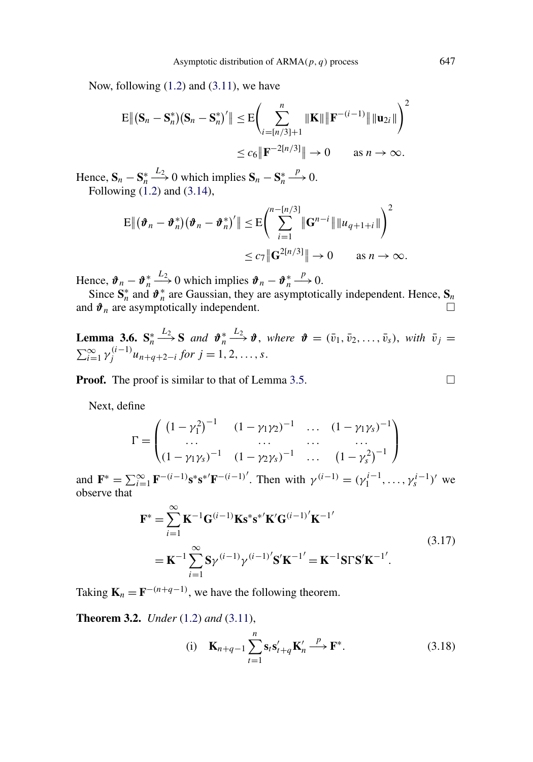<span id="page-7-0"></span>Now, following  $(1.2)$  and  $(3.11)$ , we have

$$
\mathbb{E} \left\| \left( \mathbf{S}_n - \mathbf{S}_n^* \right) \left( \mathbf{S}_n - \mathbf{S}_n^* \right)' \right\| \leq \mathbb{E} \Biggl( \sum_{i = \lfloor n/3 \rfloor + 1}^n \|\mathbf{K}\| \|\mathbf{F}^{-(i-1)}\| \|\mathbf{u}_{2i}\| \Biggr)^2
$$
  

$$
\leq c_6 \|\mathbf{F}^{-2[n/3]}\| \to 0 \quad \text{as } n \to \infty.
$$

Hence,  $S_n - S_n^* \xrightarrow{L_2} 0$  which implies  $S_n - S_n^*$  $\stackrel{p}{\longrightarrow} 0.$ Following  $(1.2)$  and  $(3.14)$ ,

$$
\mathbb{E} \| (\boldsymbol{\vartheta}_n - \boldsymbol{\vartheta}_n^*) (\boldsymbol{\vartheta}_n - \boldsymbol{\vartheta}_n^*)' \| \leq \mathbb{E} \bigg( \sum_{i=1}^{n-[n/3]} \| \mathbf{G}^{n-i} \| \| u_{q+1+i} \| \bigg)^2
$$
  

$$
\leq c_7 \| \mathbf{G}^{2[n/3]} \| \to 0 \quad \text{as } n \to \infty.
$$

Hence,  $\mathbf{\hat{\theta}}_n - \mathbf{\hat{\theta}}_n^* \stackrel{L_2}{\longrightarrow} 0$  which implies  $\mathbf{\hat{\theta}}_n - \mathbf{\hat{\theta}}_n^*$  $\stackrel{p}{\longrightarrow} 0.$ 

Since  $S_n^*$  and  $\hat{\boldsymbol{\theta}}_n^*$  are Gaussian, they are asymptotically independent. Hence,  $S_n$ and  $\mathbf{\hat{v}}_n$  are asymptotically independent.  $\Box$ 

**Lemma 3.6.**  $S_n^* \xrightarrow{L_2} S$  *and*  $\vartheta_n^* \xrightarrow{L_2} \vartheta$ , *where*  $\vartheta = (\bar{v}_1, \bar{v}_2, \dots, \bar{v}_s)$ , *with*  $\bar{v}_j =$  $\sum_{i=1}^{\infty} \gamma_j^{(i-1)} u_{n+q+2-i}$  *for*  $j = 1, 2, ..., s$ .

**Proof.** The proof is similar to that of Lemma [3.5.](#page-6-0)

Next, define

$$
\Gamma = \begin{pmatrix} (1 - \gamma_1^2)^{-1} & (1 - \gamma_1 \gamma_2)^{-1} & \dots & (1 - \gamma_1 \gamma_s)^{-1} \\ \dots & \dots & \dots & \dots \\ (1 - \gamma_1 \gamma_s)^{-1} & (1 - \gamma_2 \gamma_s)^{-1} & \dots & (1 - \gamma_s^2)^{-1} \end{pmatrix}
$$

and  $\mathbf{F}^* = \sum_{i=1}^{\infty} \mathbf{F}^{-(i-1)} \mathbf{s}^* \mathbf{s}^{*'} \mathbf{F}^{-(i-1)'}$ . Then with  $\gamma^{(i-1)} = (\gamma_1^{i-1}, \dots, \gamma_s^{i-1})'$  we observe that

$$
\mathbf{F}^* = \sum_{i=1}^{\infty} \mathbf{K}^{-1} \mathbf{G}^{(i-1)} \mathbf{K} \mathbf{s}^* \mathbf{s}^{*'} \mathbf{K'} \mathbf{G}^{(i-1)'} \mathbf{K}^{-1'}
$$
  
=  $\mathbf{K}^{-1} \sum_{i=1}^{\infty} \mathbf{S} \gamma^{(i-1)} \gamma^{(i-1)'} \mathbf{S'} \mathbf{K}^{-1'} = \mathbf{K}^{-1} \mathbf{S} \Gamma \mathbf{S'} \mathbf{K}^{-1'}$ . (3.17)

Taking  $\mathbf{K}_n = \mathbf{F}^{-(n+q-1)}$ , we have the following theorem.

**Theorem 3.2.** *Under* [\(1.2\)](#page-0-0) *and* [\(3.11\)](#page-5-0),

(i) 
$$
\mathbf{K}_{n+q-1} \sum_{t=1}^{n} \mathbf{s}_t \mathbf{s}'_{t+q} \mathbf{K}'_n \stackrel{p}{\longrightarrow} \mathbf{F}^*
$$
. (3.18)

 $\Box$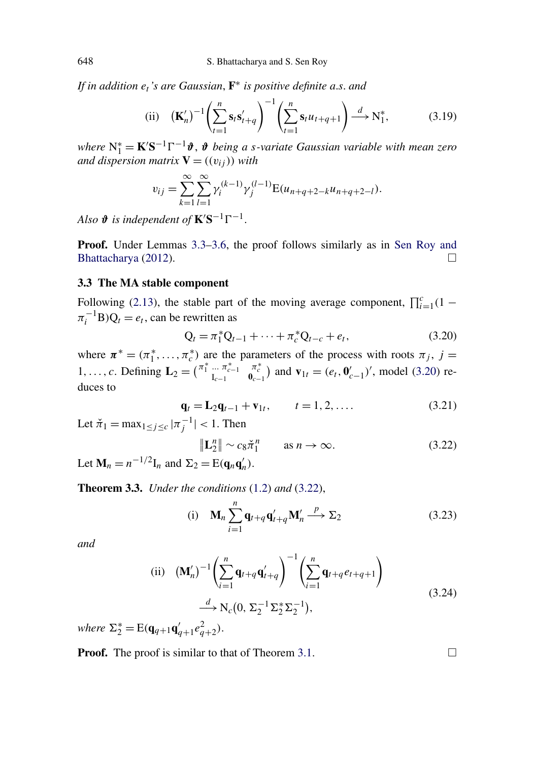*If in addition et's are Gaussian*, **F**<sup>∗</sup> *is positive definite a*.*s*. *and*

(ii) 
$$
\left(\mathbf{K}'_{n}\right)^{-1} \left(\sum_{t=1}^{n} \mathbf{s}_{t} \mathbf{s}'_{t+q}\right)^{-1} \left(\sum_{t=1}^{n} \mathbf{s}_{t} u_{t+q+1}\right) \stackrel{d}{\longrightarrow} \mathbf{N}_{1}^{*},
$$
 (3.19)

*where*  $N_1^*$  = **K**'S<sup>-1</sup>Γ<sup>-1</sup>*δ*, *δ being a s-variate Gaussian variable with mean zero and dispersion matrix*  $V = ((v_{ij}))$  *with* 

$$
v_{ij} = \sum_{k=1}^{\infty} \sum_{l=1}^{\infty} \gamma_i^{(k-1)} \gamma_j^{(l-1)} \mathbf{E}(u_{n+q+2-k}u_{n+q+2-l}).
$$

*Also*  $\boldsymbol{\vartheta}$  *is independent of*  $\mathbf{K}'\mathbf{S}^{-1}\Gamma^{-1}$ .

**Proof.** Under Lemmas [3.3–](#page-6-0)[3.6,](#page-7-0) the proof follows similarly as in [Sen Roy and](#page-15-0) [Bhattacharya](#page-15-0) [\(2012\)](#page-15-0).  $\Box$ 

#### **3.3 The MA stable component**

Following [\(2.13\)](#page-3-0), the stable part of the moving average component,  $\prod_{i=1}^{c} (1 \pi_i^{-1}B$ ) $Q_t = e_t$ , can be rewritten as

$$
Q_t = \pi_1^* Q_{t-1} + \dots + \pi_c^* Q_{t-c} + e_t, \qquad (3.20)
$$

where  $\pi^* = (\pi_1^*, \dots, \pi_c^*)$  are the parameters of the process with roots  $\pi_j$ ,  $j =$ 1, ..., *c*. Defining  $\mathbf{L}_2 = \begin{pmatrix} \pi_1^* & \dots & \pi_{c-1}^* \\ I_{c-1} & I_c \end{pmatrix}$  $\sigma_{c-1}^{\pi_c^*}$  and  $\mathbf{v}_{1t} = (e_t, \mathbf{0}'_{c-1})'$ , model (3.20) reduces to

$$
\mathbf{q}_t = \mathbf{L}_2 \mathbf{q}_{t-1} + \mathbf{v}_{1t}, \qquad t = 1, 2, .... \tag{3.21}
$$

Let  $\check{\pi}_1 = \max_{1 \le j \le c} |\pi_j^{-1}| < 1$ . Then

$$
\|\mathbf{L}_2^n\| \sim c_8 \check{\pi}_1^n \qquad \text{as } n \to \infty. \tag{3.22}
$$

Let  $\mathbf{M}_n = n^{-1/2} \mathbf{I}_n$  and  $\Sigma_2 = \mathrm{E}(\mathbf{q}_n \mathbf{q}'_n)$ .

**Theorem 3.3.** *Under the conditions* [\(1.2\)](#page-0-0) *and* (3.22),

(i) 
$$
\mathbf{M}_n \sum_{i=1}^n \mathbf{q}_{t+q} \mathbf{q}'_{t+q} \mathbf{M}'_n \xrightarrow{p} \Sigma_2
$$
 (3.23)

*and*

(ii) 
$$
(\mathbf{M}'_n)^{-1} \left( \sum_{i=1}^n \mathbf{q}_{t+q} \mathbf{q}'_{t+q} \right)^{-1} \left( \sum_{i=1}^n \mathbf{q}_{t+q} e_{t+q+1} \right)
$$
  
 $\xrightarrow{d} N_c(0, \Sigma_2^{-1} \Sigma_2^* \Sigma_2^{-1}),$  (3.24)

 $where \ \Sigma_2^* = E(\mathbf{q}_{q+1}\mathbf{q}_{q+1}'e_{q+2}^2).$ 

**Proof.** The proof is similar to that of Theorem [3.1.](#page-5-0)  $\Box$ 

<span id="page-8-0"></span>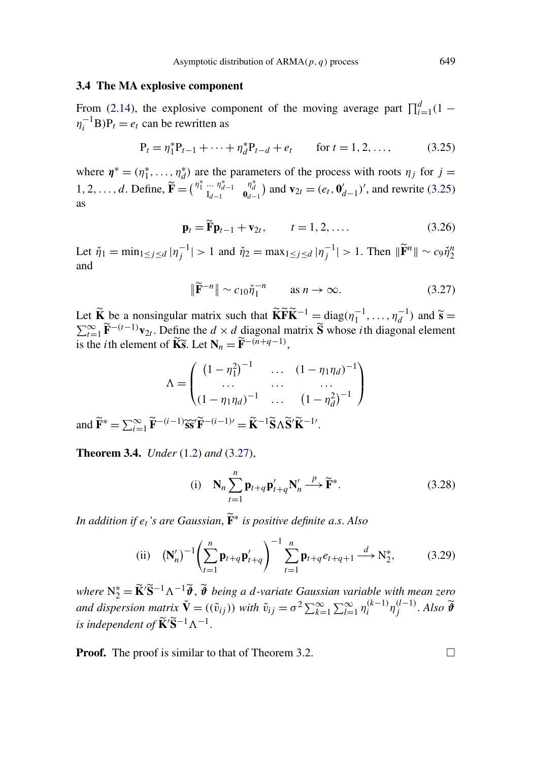#### <span id="page-9-0"></span>**3.4 The MA explosive component**

From [\(2.14\)](#page-3-0), the explosive component of the moving average part  $\prod_{i=1}^{d} (1 \eta_i^{-1}$ **B**)**P**<sub>t</sub> = *e*<sub>t</sub> can be rewritten as

$$
P_t = \eta_1^* P_{t-1} + \dots + \eta_d^* P_{t-d} + e_t \qquad \text{for } t = 1, 2, \dots,
$$
 (3.25)

where  $\eta^* = (\eta_1^*, \dots, \eta_d^*)$  are the parameters of the process with roots  $\eta_j$  for  $j =$ 1, 2, ..., *d*. Define,  $\tilde{\mathbf{F}} = \begin{pmatrix} \eta_1^* & \dots & \eta_{d-1}^* \\ I_{d-1} & I_d \end{pmatrix}$  $\mathbf{0}_{d-1}^{n_d^*}$  and  $\mathbf{v}_{2t} = (e_t, \mathbf{0}_{d-1}^t)'$ , and rewrite (3.25) as

$$
\mathbf{p}_t = \widetilde{\mathbf{F}} \mathbf{p}_{t-1} + \mathbf{v}_{2t}, \qquad t = 1, 2, \dots
$$
 (3.26)

Let  $\check{\eta}_1 = \min_{1 \le j \le d} |\eta_j^{-1}| > 1$  and  $\check{\eta}_2 = \max_{1 \le j \le d} |\eta_j^{-1}| > 1$ . Then  $\|\widetilde{F}^n\| \sim c_9 \check{\eta}_2^n$ and

$$
\|\widetilde{\mathbf{F}}^{-n}\| \sim c_{10}\check{\eta}_1^{-n} \qquad \text{as } n \to \infty. \tag{3.27}
$$

Let  $\widetilde{\mathbf{K}}$  be a nonsingular matrix such that  $\widetilde{\mathbf{K}}\widetilde{\mathbf{F}}\widetilde{\mathbf{K}}^{-1} = \text{diag}(\eta_1^{-1}, \dots, \eta_d^{-1})$ Let **K** be a nonsingular matrix such that  $\widehat{\bf K} \widehat{\bf F} \widehat{\bf K}^{-1} = \text{diag}(\eta_1^{-1}, \dots, \eta_d^{-1})$  and  $\widetilde{\bf s} = \sum_{t=1}^{\infty} \widetilde{\bf F}^{-(t-1)} {\bf v}_{2t}$ . Define the  $d \times d$  diagonal matrix  $\widetilde{\bf S}$  whose *i*th diagonal element is the *i*th element of  $\widetilde{\mathbf{K}}\widetilde{\mathbf{s}}$ . Let  $\mathbf{N}_n = \widetilde{\mathbf{F}}^{-(n+q-1)}$ ,

$$
\Lambda = \begin{pmatrix} (1 - \eta_1^2)^{-1} & \dots & (1 - \eta_1 \eta_d)^{-1} \\ \dots & \dots & \dots \\ (1 - \eta_1 \eta_d)^{-1} & \dots & (1 - \eta_d^2)^{-1} \end{pmatrix}
$$

and  $\widetilde{\mathbf{F}}^* = \sum_{i=1}^{\infty} \widetilde{\mathbf{F}}^{-(i-1)} \widetilde{\mathbf{s}} \widetilde{\mathbf{s}}' \widetilde{\mathbf{F}}^{-(i-1)\prime} = \widetilde{\mathbf{K}}^{-1} \widetilde{\mathbf{S}} \Lambda \widetilde{\mathbf{S}}' \widetilde{\mathbf{K}}^{-1}$ .

**Theorem 3.4.** *Under* [\(1.2\)](#page-0-0) *and* (3.27),

(i) 
$$
\mathbf{N}_n \sum_{t=1}^n \mathbf{p}_{t+q} \mathbf{p}'_{t+q} \mathbf{N}'_n \xrightarrow{p} \widetilde{\mathbf{F}}^*
$$
. (3.28)

*In addition if et's are Gaussian*, **F**<sup>∗</sup> *is positive definite a*.*s*. *Also*

(ii) 
$$
(N'_n)^{-1} \left( \sum_{t=1}^n \mathbf{p}_{t+q} \mathbf{p}'_{t+q} \right)^{-1} \sum_{t=1}^n \mathbf{p}_{t+q} e_{t+q+1} \stackrel{d}{\longrightarrow} N_2^*,
$$
 (3.29)

*where* N<sup>\*</sup><sub>2</sub> = **K**<sup>'</sup>**S**<sup>-1</sup> Λ<sup>-1</sup>**φ**<sup>3</sup>, **δ** *being a d-variate Gaussian variable with mean zero*  $\alpha$ and dispersion matrix  $\tilde{\mathbf{V}} = ((\tilde{v}_{ij}))$  with  $\tilde{v}_{ij} = \sigma^2 \sum_{k=1}^{\infty} \sum_{l=1}^{\infty} \eta_i^{(k-1)} \eta_j^{(l-1)}$ . Also  $\tilde{\mathbf{\theta}}$ *is independent of*  $\widetilde{\mathbf{K}}' \widetilde{\mathbf{S}}^{-1} \Lambda^{-1}$ .

**Proof.** The proof is similar to that of Theorem [3.2.](#page-7-0)  $\Box$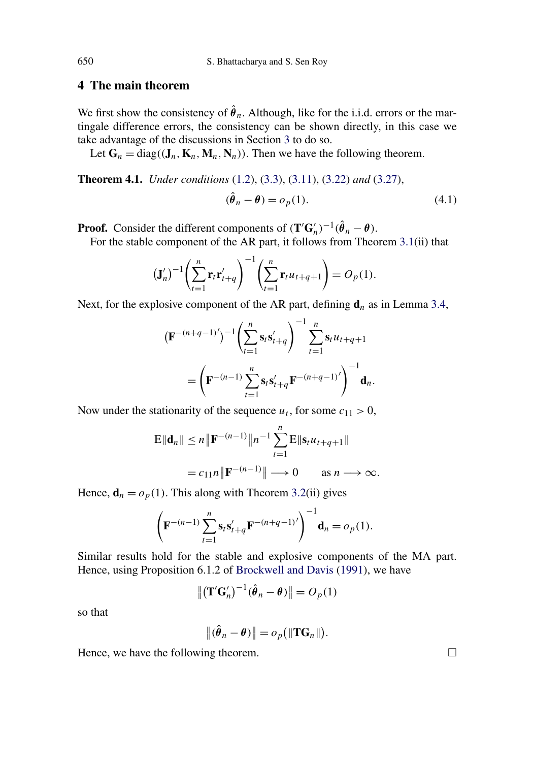# <span id="page-10-0"></span>**4 The main theorem**

We first show the consistency of  $\hat{\theta}_n$ . Although, like for the i.i.d. errors or the martingale difference errors, the consistency can be shown directly, in this case we take advantage of the discussions in Section [3](#page-4-0) to do so.

Let  $G_n = \text{diag}((J_n, K_n, M_n, N_n))$ . Then we have the following theorem.

**Theorem 4.1.** *Under conditions* [\(1.2\)](#page-0-0), [\(3.3\)](#page-4-0), [\(3.11\)](#page-5-0), [\(3.22\)](#page-8-0) *and* [\(3.27\)](#page-9-0),

$$
(\hat{\theta}_n - \theta) = o_p(1). \tag{4.1}
$$

**Proof.** Consider the different components of  $(\mathbf{T}'\mathbf{G}'_n)^{-1}(\hat{\theta}_n - \theta)$ .

For the stable component of the AR part, it follows from Theorem [3.1\(](#page-5-0)ii) that

$$
(\mathbf{J}'_n)^{-1} \left( \sum_{t=1}^n \mathbf{r}_t \mathbf{r}'_{t+q} \right)^{-1} \left( \sum_{t=1}^n \mathbf{r}_t u_{t+q+1} \right) = O_p(1).
$$

Next, for the explosive component of the AR part, defining  $\mathbf{d}_n$  as in Lemma [3.4,](#page-6-0)

$$
\begin{aligned} \left(\mathbf{F}^{-(n+q-1)'}\right)^{-1} \left(\sum_{t=1}^{n} \mathbf{s}_t \mathbf{s}'_{t+q}\right)^{-1} \sum_{t=1}^{n} \mathbf{s}_t u_{t+q+1} \\ = \left(\mathbf{F}^{-(n-1)} \sum_{t=1}^{n} \mathbf{s}_t \mathbf{s}'_{t+q} \mathbf{F}^{-(n+q-1)'}\right)^{-1} \mathbf{d}_n. \end{aligned}
$$

Now under the stationarity of the sequence  $u_t$ , for some  $c_{11} > 0$ ,

$$
E\|\mathbf{d}_n\| \le n \|\mathbf{F}^{-(n-1)}\|n^{-1} \sum_{t=1}^n E\|\mathbf{s}_t u_{t+q+1}\|
$$
  
=  $c_{11}n \|\mathbf{F}^{-(n-1)}\| \longrightarrow 0$  as  $n \longrightarrow \infty$ .

Hence,  $\mathbf{d}_n = o_p(1)$ . This along with Theorem [3.2\(](#page-7-0)ii) gives

$$
\left(\mathbf{F}^{-(n-1)}\sum_{t=1}^{n}\mathbf{s}_{t}\mathbf{s}_{t+q}'\mathbf{F}^{-(n+q-1)'}\right)^{-1}\mathbf{d}_{n}=o_{p}(1).
$$

Similar results hold for the stable and explosive components of the MA part. Hence, using Proposition 6.1.2 of [Brockwell and Davis](#page-15-0) [\(1991\)](#page-15-0), we have

$$
\|(\mathbf{T}'\mathbf{G}'_n)^{-1}(\hat{\boldsymbol{\theta}}_n - \boldsymbol{\theta})\| = O_p(1)
$$

so that

$$
\|(\hat{\theta}_n - \theta)\| = o_p(\|\mathbf{T}\mathbf{G}_n\|).
$$

Hence, we have the following theorem.  $\Box$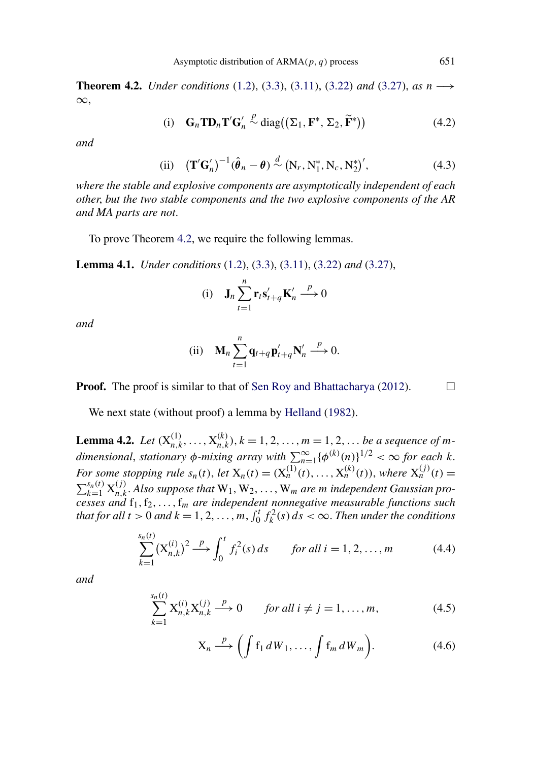<span id="page-11-0"></span>**Theorem 4.2.** *Under conditions* [\(1.2\)](#page-0-0), [\(3.3\)](#page-4-0), [\(3.11\)](#page-5-0), [\(3.22\)](#page-8-0) *and* [\(3.27\)](#page-9-0), *as n* −→ ∞,

(i) 
$$
\mathbf{G}_n \mathbf{T} \mathbf{D}_n \mathbf{T}' \mathbf{G}'_n \stackrel{p}{\sim} \text{diag}((\Sigma_1, \mathbf{F}^*, \Sigma_2, \widetilde{\mathbf{F}}^*))
$$
 (4.2)

*and*

(ii) 
$$
(\mathbf{T}'\mathbf{G}'_n)^{-1}(\hat{\boldsymbol{\theta}}_n - \boldsymbol{\theta}) \stackrel{d}{\sim} (\mathbf{N}_r, \mathbf{N}_1^*, \mathbf{N}_c, \mathbf{N}_2^*)',
$$
 (4.3)

*where the stable and explosive components are asymptotically independent of each other*, *but the two stable components and the two explosive components of the AR and MA parts are not*.

To prove Theorem 4.2, we require the following lemmas.

**Lemma 4.1.** *Under conditions* [\(1.2\)](#page-0-0), [\(3.3\)](#page-4-0), [\(3.11\)](#page-5-0), [\(3.22\)](#page-8-0) *and* [\(3.27\)](#page-9-0),

(i) 
$$
\mathbf{J}_n \sum_{t=1}^n \mathbf{r}_t \mathbf{s}'_{t+q} \mathbf{K}'_n \stackrel{p}{\longrightarrow} 0
$$

*and*

(ii) 
$$
\mathbf{M}_n \sum_{t=1}^n \mathbf{q}_{t+q} \mathbf{p}'_{t+q} \mathbf{N}'_n \stackrel{p}{\longrightarrow} 0.
$$

**Proof.** The proof is similar to that of [Sen Roy and Bhattacharya](#page-15-0) [\(2012\)](#page-15-0).  $\Box$ 

We next state (without proof) a lemma by [Helland](#page-15-0) [\(1982\)](#page-15-0).

**Lemma 4.2.** *Let*  $(X_{n,k}^{(1)},...,X_{n,k}^{(k)}), k = 1, 2,..., m = 1, 2,...$  *be a sequence of mdimensional, stationary*  $\phi$ *-mixing array with*  $\sum_{n=1}^{\infty} {\{\phi^{(k)}(n)\}}^{1/2} < \infty$  for each k. *For some stopping rule*  $s_n(t)$ , *let*  $X_n(t) = (X_n^{(1)}(t), ..., X_n^{(k)}(t))$ , *where*  $X_n^{(j)}(t) =$  $\sum_{k=1}^{s_n(t)} X_{n,k}^{(j)}$ . Also suppose that  $W_1, W_2, \ldots, W_m$  are *m* independent Gaussian pro*cesses and* f1*,*f2*,...,*f*<sup>m</sup> are independent nonnegative measurable functions such that for all*  $t > 0$  *and*  $k = 1, 2, ..., m$ ,  $\int_0^t f_k^2(s) ds < \infty$ . *Then under the conditions* 

$$
\sum_{k=1}^{s_n(t)} (\mathbf{X}_{n,k}^{(i)})^2 \xrightarrow{p} \int_0^t f_i^2(s) \, ds \qquad \text{for all } i = 1, 2, \dots, m \tag{4.4}
$$

*and*

$$
\sum_{k=1}^{s_n(t)} X_{n,k}^{(i)} X_{n,k}^{(j)} \xrightarrow{p} 0 \quad \text{for all } i \neq j = 1, ..., m,
$$
 (4.5)

$$
X_n \xrightarrow{p} \left( \int f_1 dW_1, \dots, \int f_m dW_m \right). \tag{4.6}
$$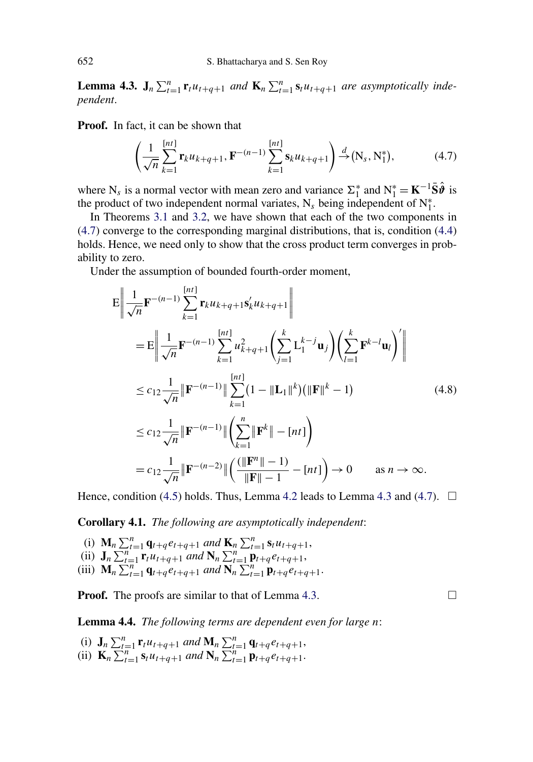<span id="page-12-0"></span>**Lemma 4.3.**  $J_n \sum_{t=1}^n r_t u_{t+q+1}$  *and*  $K_n \sum_{t=1}^n s_t u_{t+q+1}$  *are asymptotically independent*.

**Proof.** In fact, it can be shown that

$$
\left(\frac{1}{\sqrt{n}}\sum_{k=1}^{[nt]} \mathbf{r}_k u_{k+q+1}, \mathbf{F}^{-(n-1)}\sum_{k=1}^{[nt]} \mathbf{s}_k u_{k+q+1}\right) \stackrel{d}{\to} (\mathbf{N}_s, \mathbf{N}_1^*),\tag{4.7}
$$

where N<sub>s</sub> is a normal vector with mean zero and variance  $\Sigma_1^*$  and  $N_1^* = K^{-1} \overline{S} \hat{\theta}$  is the product of two independent normal variates,  $N_s$  being independent of  $N_1^*$ .

In Theorems [3.1](#page-5-0) and [3.2,](#page-7-0) we have shown that each of the two components in (4.7) converge to the corresponding marginal distributions, that is, condition [\(4.4\)](#page-11-0) holds. Hence, we need only to show that the cross product term converges in probability to zero.

Under the assumption of bounded fourth-order moment,

$$
E \left\| \frac{1}{\sqrt{n}} \mathbf{F}^{-(n-1)} \sum_{k=1}^{[nt]} \mathbf{r}_{k} u_{k+q+1} \mathbf{s}_{k}^{\prime} u_{k+q+1} \right\|
$$
  
\n
$$
= E \left\| \frac{1}{\sqrt{n}} \mathbf{F}^{-(n-1)} \sum_{k=1}^{[nt]} u_{k+q+1}^{2} \left( \sum_{j=1}^{k} L_{1}^{k-j} \mathbf{u}_{j} \right) \left( \sum_{l=1}^{k} \mathbf{F}^{k-l} \mathbf{u}_{l} \right)^{\prime} \right\|
$$
  
\n
$$
\leq c_{12} \frac{1}{\sqrt{n}} \|\mathbf{F}^{-(n-1)}\| \sum_{k=1}^{[nt]} (1 - \|\mathbf{L}_{1}\|^{k}) (\|\mathbf{F}\|^{k} - 1)
$$
  
\n
$$
\leq c_{12} \frac{1}{\sqrt{n}} \|\mathbf{F}^{-(n-1)}\| \left( \sum_{k=1}^{n} \|\mathbf{F}^{k}\| - [nt] \right)
$$
  
\n
$$
= c_{12} \frac{1}{\sqrt{n}} \|\mathbf{F}^{-(n-2)}\| \left( \frac{(\|\mathbf{F}^{n}\| - 1)}{\|\mathbf{F}\| - 1} - [nt] \right) \to 0 \quad \text{as } n \to \infty.
$$

Hence, condition [\(4.5\)](#page-11-0) holds. Thus, Lemma [4.2](#page-11-0) leads to Lemma 4.3 and (4.7).  $\Box$ 

**Corollary 4.1.** *The following are asymptotically independent*:

(i)  $\mathbf{M}_n \sum_{t=1}^n \mathbf{q}_{t+q} e_{t+q+1}$  and  $\mathbf{K}_n \sum_{t=1}^n \mathbf{s}_t u_{t+q+1}$ , (ii)  $\mathbf{J}_n \sum_{t=1}^n \mathbf{r}_t u_{t+q+1}$  *and*  $\mathbf{N}_n \sum_{t=1}^n \mathbf{p}_{t+q} e_{t+q+1}$ , (iii)  $\mathbf{M}_n \sum_{t=1}^n \mathbf{q}_{t+q} e_{t+q+1}$  *and*  $\mathbf{N}_n \sum_{t=1}^n \mathbf{p}_{t+q} e_{t+q+1}$ .

**Proof.** The proofs are similar to that of Lemma 4.3.

**Lemma 4.4.** *The following terms are dependent even for large n*:

- (i)  $\mathbf{J}_n \sum_{t=1}^n \mathbf{r}_t u_{t+q+1}$  *and*  $\mathbf{M}_n \sum_{t=1}^n \mathbf{q}_{t+q} e_{t+q+1}$ ,
- (ii)  $\mathbf{K}_n \sum_{t=1}^n \mathbf{s}_t u_{t+q+1}$  *and*  $\mathbf{N}_n \sum_{t=1}^n \mathbf{p}_{t+q} e_{t+q+1}$ .

 $\Box$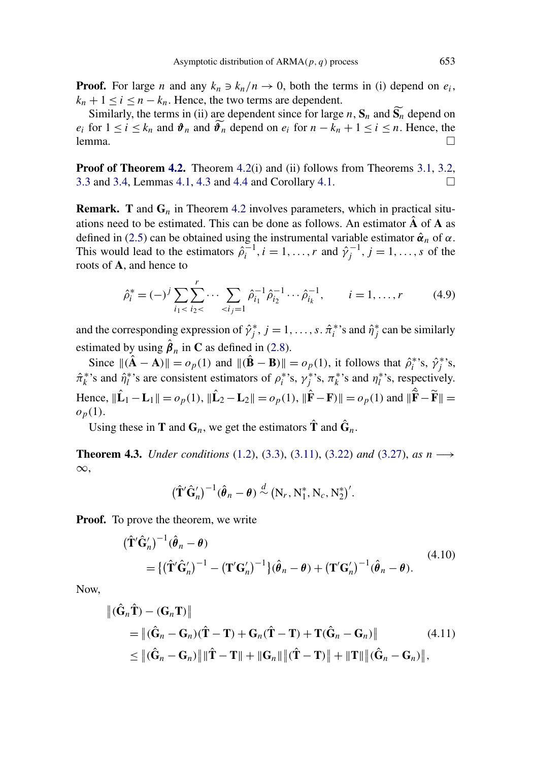<span id="page-13-0"></span>**Proof.** For large *n* and any  $k_n \ni k_n/n \to 0$ , both the terms in (i) depend on  $e_i$ ,  $k_n + 1 \le i \le n - k_n$ . Hence, the two terms are dependent.

Similarly, the terms in (ii) are dependent since for large *n*,  $\mathbf{S}_n$  and  $\mathbf{S}_n$  depend on *e<sub>i</sub>* for  $1 \le i \le k_n$  and  $\hat{\theta}_n$  and  $\hat{\theta}_n$  depend on  $e_i$  for  $n - k_n + 1 \le i \le n$ . Hence, the lemma.  $\Box$  $\Box$ 

**Proof of Theorem [4.2.](#page-11-0)** Theorem [4.2\(](#page-11-0)i) and (ii) follows from Theorems [3.1,](#page-5-0) [3.2,](#page-7-0) [3.3](#page-8-0) and [3.4,](#page-9-0) Lemmas [4.1,](#page-11-0) [4.3](#page-12-0) and [4.4](#page-12-0) and Corollary [4.1.](#page-12-0)  $\Box$ 

**Remark. T** and **G***<sup>n</sup>* in Theorem [4.2](#page-11-0) involves parameters, which in practical situations need to be estimated. This can be done as follows. An estimator  $\vec{A}$  of  $\vec{A}$  as defined in [\(2.5\)](#page-2-0) can be obtained using the instrumental variable estimator  $\hat{\alpha}_n$  of  $\alpha$ . This would lead to the estimators  $\hat{\rho}_i^{-1}$ ,  $i = 1, ..., r$  and  $\hat{\gamma}_j^{-1}$ ,  $j = 1, ..., s$  of the roots of **A**, and hence to

$$
\hat{\rho}_i^* = (-)^j \sum_{i_1 < i_2 < \cdots < i_j = 1}^r \hat{\rho}_{i_1}^{-1} \hat{\rho}_{i_2}^{-1} \cdots \hat{\rho}_{i_k}^{-1}, \qquad i = 1, \ldots, r \tag{4.9}
$$

and the corresponding expression of  $\hat{\gamma}_j^*$ ,  $j = 1, \ldots, s$ .  $\hat{\pi}_i^*$ 's and  $\hat{\eta}_j^*$  can be similarly estimated by using  $\hat{\boldsymbol{\beta}}_n$  in **C** as defined in [\(2.8\)](#page-3-0).

Since  $\|(\hat{\mathbf{A}} - \mathbf{A})\| = o_p(1)$  and  $\|(\hat{\mathbf{B}} - \mathbf{B})\| = o_p(1)$ , it follows that  $\hat{\rho}_i^*$ 's,  $\hat{\gamma}_j^*$ 's,  $\hat{\pi}_k^*$ 's and  $\hat{\eta}_l^*$ 's are consistent estimators of  $\rho_i^*$ 's,  $\gamma_j^*$ 's,  $\pi_k^*$ 's and  $\eta_l^*$ 's, respectively. Hence,  $\|\hat{\mathbf{L}}_1 - \mathbf{L}_1\| = o_p(1)$ ,  $\|\hat{\mathbf{L}}_2 - \mathbf{L}_2\| = o_p(1)$ ,  $\|\hat{\mathbf{F}} - \mathbf{F}\| = o_p(1)$  and  $\|\hat{\tilde{\mathbf{F}}} - \tilde{\mathbf{F}}\| =$  $o_p(1)$ .

Using these in **T** and  $\mathbf{G}_n$ , we get the estimators  $\hat{\mathbf{T}}$  and  $\hat{\mathbf{G}}_n$ .

**Theorem 4.3.** *Under conditions* [\(1.2\)](#page-0-0), [\(3.3\)](#page-4-0), [\(3.11\)](#page-5-0), [\(3.22\)](#page-8-0) *and* [\(3.27\)](#page-9-0), *as n* −→ ∞,

$$
(\hat{\mathbf{T}}'\hat{\mathbf{G}}'_n)^{-1}(\hat{\boldsymbol{\theta}}_n-\boldsymbol{\theta}) \stackrel{d}{\sim} (\mathbf{N}_r, \mathbf{N}_1^*, \mathbf{N}_c, \mathbf{N}_2^*)'.
$$

**Proof.** To prove the theorem, we write

$$
(\hat{\mathbf{T}}'\hat{\mathbf{G}}'_{n})^{-1}(\hat{\boldsymbol{\theta}}_{n} - \boldsymbol{\theta})
$$
  
= {( $\hat{\mathbf{T}}'\hat{\mathbf{G}}'_{n}$ )<sup>-1</sup> - ( $\mathbf{T'}\mathbf{G}'_{n}$ )<sup>-1</sup>}( $\hat{\boldsymbol{\theta}}_{n} - \boldsymbol{\theta}$ ) + ( $\mathbf{T'}\mathbf{G}'_{n}$ )<sup>-1</sup>( $\hat{\boldsymbol{\theta}}_{n} - \boldsymbol{\theta}$ ). (4.10)

Now,

$$
\begin{aligned} \left\| (\hat{\mathbf{G}}_n \hat{\mathbf{T}}) - (\mathbf{G}_n \mathbf{T}) \right\| \\ &= \left\| (\hat{\mathbf{G}}_n - \mathbf{G}_n)(\hat{\mathbf{T}} - \mathbf{T}) + \mathbf{G}_n(\hat{\mathbf{T}} - \mathbf{T}) + \mathbf{T}(\hat{\mathbf{G}}_n - \mathbf{G}_n) \right\| \\ &\leq \left\| (\hat{\mathbf{G}}_n - \mathbf{G}_n) \right\| \|\hat{\mathbf{T}} - \mathbf{T}\| + \|\mathbf{G}_n\| \|\hat{\mathbf{T}} - \mathbf{T}\| + \|\mathbf{T}\| \|\hat{\mathbf{G}}_n - \mathbf{G}_n) \right\|, \end{aligned} \tag{4.11}
$$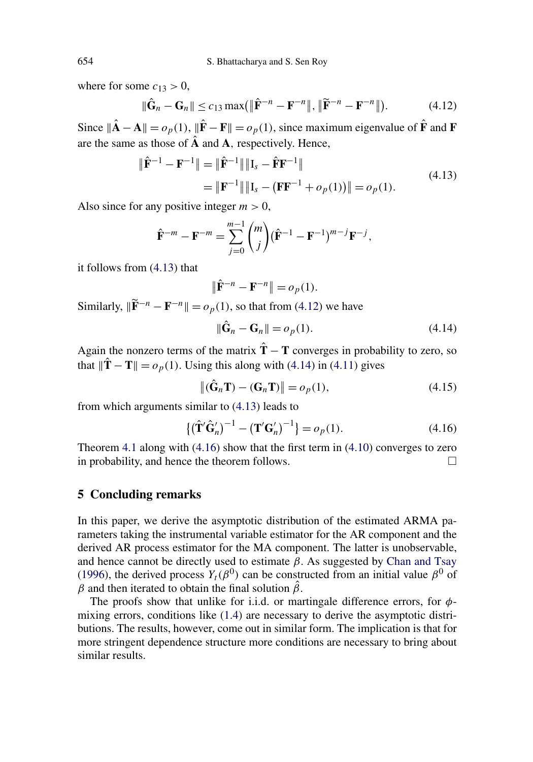where for some  $c_{13} > 0$ ,

$$
\|\hat{\mathbf{G}}_n - \mathbf{G}_n\| \le c_{13} \max\left(\|\hat{\mathbf{F}}^{-n} - \mathbf{F}^{-n}\|, \|\widetilde{\mathbf{F}}^{-n} - \mathbf{F}^{-n}\|\right). \tag{4.12}
$$

Since  $\|\hat{\mathbf{A}} - \mathbf{A}\| = o_p(1)$ ,  $\|\hat{\mathbf{F}} - \mathbf{F}\| = o_p(1)$ , since maximum eigenvalue of  $\hat{\mathbf{F}}$  and **F** are the same as those of  $\hat{A}$  and  $A$ , respectively. Hence,

$$
\|\hat{\mathbf{F}}^{-1} - \mathbf{F}^{-1}\| = \|\hat{\mathbf{F}}^{-1}\| \| \mathbf{I}_s - \hat{\mathbf{F}} \mathbf{F}^{-1} \|
$$
  
= 
$$
\|\mathbf{F}^{-1}\| \| \mathbf{I}_s - (\mathbf{F} \mathbf{F}^{-1} + o_p(1)) \| = o_p(1).
$$
 (4.13)

Also since for any positive integer  $m > 0$ ,

$$
\hat{\mathbf{F}}^{-m} - \mathbf{F}^{-m} = \sum_{j=0}^{m-1} {m \choose j} (\hat{\mathbf{F}}^{-1} - \mathbf{F}^{-1})^{m-j} \mathbf{F}^{-j},
$$

it follows from (4.13) that

$$
\|\hat{\mathbf{F}}^{-n} - \mathbf{F}^{-n}\| = o_p(1).
$$

Similarly,  $\|\tilde{\mathbf{F}}^{-n} - \mathbf{F}^{-n}\| = o_p(1)$ , so that from (4.12) we have

$$
\|\hat{\mathbf{G}}_n - \mathbf{G}_n\| = o_p(1). \tag{4.14}
$$

Again the nonzero terms of the matrix  $\hat{T} - T$  converges in probability to zero, so that  $\|\hat{\mathbf{T}} - \mathbf{T}\| = o_p(1)$ . Using this along with (4.14) in [\(4.11\)](#page-13-0) gives

$$
\left\| \left( \hat{\mathbf{G}}_n \mathbf{T} \right) - \left( \mathbf{G}_n \mathbf{T} \right) \right\| = o_p(1),\tag{4.15}
$$

from which arguments similar to (4.13) leads to

$$
\{ (\hat{\mathbf{T}}' \hat{\mathbf{G}}'_n)^{-1} - (\mathbf{T}' \mathbf{G}'_n)^{-1} \} = o_p(1).
$$
 (4.16)

Theorem [4.1](#page-10-0) along with (4.16) show that the first term in [\(4.10\)](#page-13-0) converges to zero in probability, and hence the theorem follows.  $\Box$ 

# **5 Concluding remarks**

In this paper, we derive the asymptotic distribution of the estimated ARMA parameters taking the instrumental variable estimator for the AR component and the derived AR process estimator for the MA component. The latter is unobservable, and hence cannot be directly used to estimate  $\bar{\beta}$ . As suggested by [Chan and Tsay](#page-15-0) [\(1996\)](#page-15-0), the derived process  $Y_t(\beta^0)$  can be constructed from an initial value  $\beta^0$  of *β* and then iterated to obtain the final solution  $\hat{\beta}$ .

The proofs show that unlike for i.i.d. or martingale difference errors, for *φ*mixing errors, conditions like [\(1.4\)](#page-1-0) are necessary to derive the asymptotic distributions. The results, however, come out in similar form. The implication is that for more stringent dependence structure more conditions are necessary to bring about similar results.

<span id="page-14-0"></span>